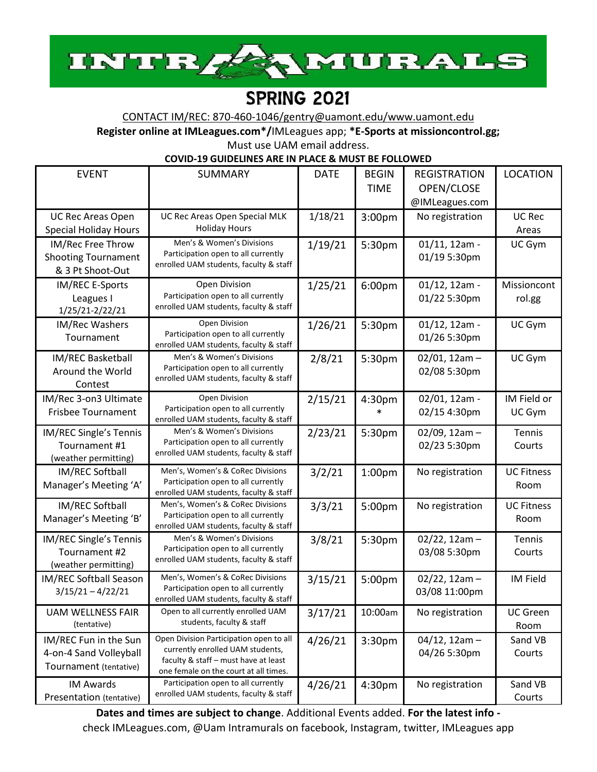

# SPRING 2021

CONTACT IM/REC: 870-460-1046[/gentry@uamont.edu/](mailto:GENTRY@UAMONT.EDU)www.uamont.edu

**Register online at IMLeagues.com\*/**IMLeagues app; **\*E-Sports at missioncontrol.gg;**

Must use UAM email address.

**COVID-19 GUIDELINES ARE IN PLACE & MUST BE FOLLOWED**

| <b>EVENT</b>                                                              | <b>SUMMARY</b>                                                                                                                                               | <b>DATE</b> | <b>BEGIN</b><br><b>TIME</b> | <b>REGISTRATION</b><br>OPEN/CLOSE<br>@IMLeagues.com | <b>LOCATION</b>           |
|---------------------------------------------------------------------------|--------------------------------------------------------------------------------------------------------------------------------------------------------------|-------------|-----------------------------|-----------------------------------------------------|---------------------------|
| <b>UC Rec Areas Open</b><br><b>Special Holiday Hours</b>                  | UC Rec Areas Open Special MLK<br><b>Holiday Hours</b>                                                                                                        | 1/18/21     | 3:00pm                      | No registration                                     | <b>UC Rec</b><br>Areas    |
| IM/Rec Free Throw<br><b>Shooting Tournament</b><br>& 3 Pt Shoot-Out       | Men's & Women's Divisions<br>Participation open to all currently<br>enrolled UAM students, faculty & staff                                                   | 1/19/21     | 5:30pm                      | $01/11$ , 12am -<br>01/19 5:30pm                    | UC Gym                    |
| IM/REC E-Sports<br>Leagues I<br>1/25/21-2/22/21                           | Open Division<br>Participation open to all currently<br>enrolled UAM students, faculty & staff                                                               | 1/25/21     | 6:00pm                      | $01/12$ , 12am -<br>01/22 5:30pm                    | Missioncont<br>rol.gg     |
| <b>IM/Rec Washers</b><br>Tournament                                       | Open Division<br>Participation open to all currently<br>enrolled UAM students, faculty & staff                                                               | 1/26/21     | 5:30pm                      | $01/12$ , 12am -<br>01/26 5:30pm                    | UC Gym                    |
| IM/REC Basketball<br>Around the World<br>Contest                          | Men's & Women's Divisions<br>Participation open to all currently<br>enrolled UAM students, faculty & staff                                                   | 2/8/21      | 5:30pm                      | $02/01$ , 12am -<br>02/08 5:30pm                    | UC Gym                    |
| IM/Rec 3-on3 Ultimate<br><b>Frisbee Tournament</b>                        | Open Division<br>Participation open to all currently<br>enrolled UAM students, faculty & staff                                                               | 2/15/21     | 4:30pm                      | 02/01, 12am -<br>02/15 4:30pm                       | IM Field or<br>UC Gym     |
| IM/REC Single's Tennis<br>Tournament #1<br>(weather permitting)           | Men's & Women's Divisions<br>Participation open to all currently<br>enrolled UAM students, faculty & staff                                                   | 2/23/21     | 5:30pm                      | $02/09$ , 12am -<br>02/23 5:30pm                    | Tennis<br>Courts          |
| IM/REC Softball<br>Manager's Meeting 'A'                                  | Men's, Women's & CoRec Divisions<br>Participation open to all currently<br>enrolled UAM students, faculty & staff                                            | 3/2/21      | 1:00 <sub>pm</sub>          | No registration                                     | <b>UC Fitness</b><br>Room |
| IM/REC Softball<br>Manager's Meeting 'B'                                  | Men's, Women's & CoRec Divisions<br>Participation open to all currently<br>enrolled UAM students, faculty & staff                                            | 3/3/21      | 5:00pm                      | No registration                                     | <b>UC Fitness</b><br>Room |
| IM/REC Single's Tennis<br>Tournament #2<br>(weather permitting)           | Men's & Women's Divisions<br>Participation open to all currently<br>enrolled UAM students, faculty & staff                                                   | 3/8/21      | 5:30pm                      | $02/22$ , 12am -<br>03/08 5:30pm                    | Tennis<br>Courts          |
| IM/REC Softball Season<br>$3/15/21 - 4/22/21$                             | Men's, Women's & CoRec Divisions<br>Participation open to all currently<br>enrolled UAM students, faculty & staff                                            | 3/15/21     | 5:00pm                      | $02/22$ , 12am -<br>03/08 11:00pm                   | IM Field                  |
| <b>UAM WELLNESS FAIR</b><br>(tentative)                                   | Open to all currently enrolled UAM<br>students, faculty & staff                                                                                              | 3/17/21     | 10:00am                     | No registration                                     | <b>UC Green</b><br>Room   |
| IM/REC Fun in the Sun<br>4-on-4 Sand Volleyball<br>Tournament (tentative) | Open Division Participation open to all<br>currently enrolled UAM students,<br>faculty & staff - must have at least<br>one female on the court at all times. | 4/26/21     | 3:30 <sub>pm</sub>          | $04/12$ , 12am -<br>04/26 5:30pm                    | Sand VB<br>Courts         |
| <b>IM Awards</b><br>Presentation (tentative)                              | Participation open to all currently<br>enrolled UAM students, faculty & staff                                                                                | 4/26/21     | 4:30pm                      | No registration                                     | Sand VB<br>Courts         |

**Dates and times are subject to change**. Additional Events added. **For the latest info**  check IMLeagues.com, @Uam Intramurals on facebook, Instagram, twitter, IMLeagues app